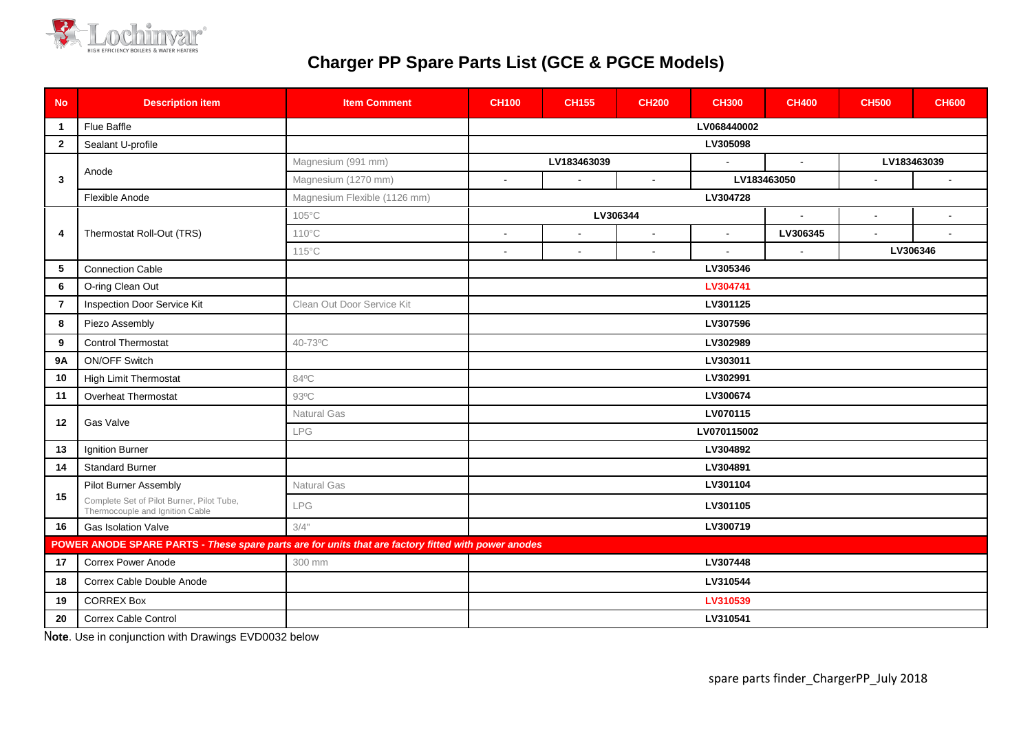

## **Charger PP Spare Parts List (GCE & PGCE Models)**

| <b>No</b>                                                                                           | <b>Description item</b>                                                      | <b>Item Comment</b>          | <b>CH100</b>                                                                          | <b>CH155</b> | <b>CH200</b>             | <b>CH300</b> | <b>CH400</b> | <b>CH500</b> | <b>CH600</b>   |
|-----------------------------------------------------------------------------------------------------|------------------------------------------------------------------------------|------------------------------|---------------------------------------------------------------------------------------|--------------|--------------------------|--------------|--------------|--------------|----------------|
| $\mathbf{1}$                                                                                        | Flue Baffle                                                                  |                              | LV068440002                                                                           |              |                          |              |              |              |                |
| $\overline{2}$                                                                                      | Sealant U-profile                                                            |                              | LV305098                                                                              |              |                          |              |              |              |                |
| $\mathbf{3}$                                                                                        | Anode                                                                        | Magnesium (991 mm)           | LV183463039                                                                           |              |                          |              |              | LV183463039  |                |
|                                                                                                     |                                                                              | Magnesium (1270 mm)          | LV183463050<br>$\sim$<br>$\blacksquare$<br>$\blacksquare$<br>$\sim$<br>$\blacksquare$ |              |                          |              |              |              |                |
|                                                                                                     | Flexible Anode                                                               | Magnesium Flexible (1126 mm) | LV304728                                                                              |              |                          |              |              |              |                |
| 4                                                                                                   | Thermostat Roll-Out (TRS)                                                    | 105°C                        | LV306344                                                                              |              |                          |              | $\sim$       | $\sim$       | $\blacksquare$ |
|                                                                                                     |                                                                              | $110^{\circ}$ C              | $\overline{a}$                                                                        | $\sim$       | $\mathbf{r}$             |              | LV306345     |              |                |
|                                                                                                     |                                                                              | $115^{\circ}$ C              | $\overline{\phantom{a}}$                                                              |              | $\overline{\phantom{a}}$ |              |              | LV306346     |                |
| 5                                                                                                   | <b>Connection Cable</b>                                                      |                              | LV305346                                                                              |              |                          |              |              |              |                |
| $6\phantom{.}6$                                                                                     | O-ring Clean Out                                                             |                              | LV304741                                                                              |              |                          |              |              |              |                |
| $\overline{7}$                                                                                      | Inspection Door Service Kit                                                  | Clean Out Door Service Kit   | LV301125                                                                              |              |                          |              |              |              |                |
| 8                                                                                                   | Piezo Assembly                                                               |                              | LV307596                                                                              |              |                          |              |              |              |                |
| 9                                                                                                   | <b>Control Thermostat</b>                                                    | 40-73°C                      | LV302989                                                                              |              |                          |              |              |              |                |
| <b>9A</b>                                                                                           | <b>ON/OFF Switch</b>                                                         |                              | LV303011                                                                              |              |                          |              |              |              |                |
| 10                                                                                                  | <b>High Limit Thermostat</b>                                                 | 84°C                         | LV302991                                                                              |              |                          |              |              |              |                |
| 11                                                                                                  | <b>Overheat Thermostat</b>                                                   | 93°C                         | LV300674                                                                              |              |                          |              |              |              |                |
| 12                                                                                                  | Gas Valve                                                                    | Natural Gas                  | LV070115                                                                              |              |                          |              |              |              |                |
|                                                                                                     |                                                                              | <b>LPG</b>                   | LV070115002                                                                           |              |                          |              |              |              |                |
| 13                                                                                                  | Ignition Burner                                                              |                              | LV304892                                                                              |              |                          |              |              |              |                |
| 14                                                                                                  | <b>Standard Burner</b>                                                       |                              | LV304891                                                                              |              |                          |              |              |              |                |
| 15                                                                                                  | Pilot Burner Assembly                                                        | Natural Gas                  | LV301104                                                                              |              |                          |              |              |              |                |
|                                                                                                     | Complete Set of Pilot Burner, Pilot Tube,<br>Thermocouple and Ignition Cable | LPG                          | LV301105                                                                              |              |                          |              |              |              |                |
| 16                                                                                                  | Gas Isolation Valve                                                          | 3/4"                         | LV300719                                                                              |              |                          |              |              |              |                |
| POWER ANODE SPARE PARTS - These spare parts are for units that are factory fitted with power anodes |                                                                              |                              |                                                                                       |              |                          |              |              |              |                |
| 17                                                                                                  | Correx Power Anode                                                           | 300 mm                       | LV307448                                                                              |              |                          |              |              |              |                |
| 18                                                                                                  | Correx Cable Double Anode                                                    |                              | LV310544                                                                              |              |                          |              |              |              |                |
| 19                                                                                                  | <b>CORREX Box</b>                                                            |                              | LV310539                                                                              |              |                          |              |              |              |                |
| 20                                                                                                  | <b>Correx Cable Control</b>                                                  |                              | LV310541                                                                              |              |                          |              |              |              |                |

N**ote**. Use in conjunction with Drawings EVD0032 below